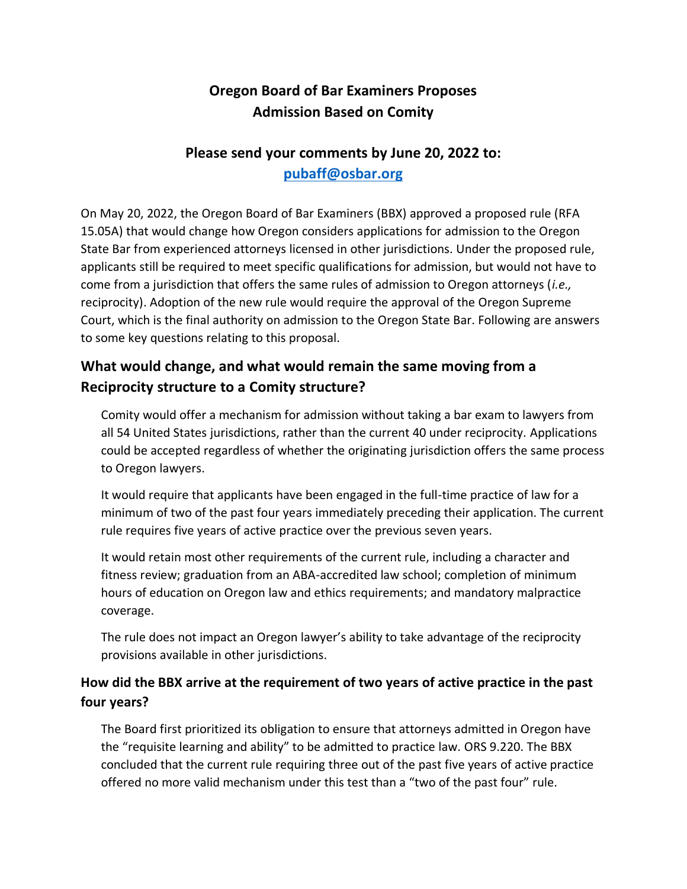# **Oregon Board of Bar Examiners Proposes Admission Based on Comity**

## **Please send your comments by June 20, 2022 to: [pubaff@osbar.org](mailto:pubaff@osbar.org)**

On May 20, 2022, the Oregon Board of Bar Examiners (BBX) approved a proposed rule (RFA 15.05A) that would change how Oregon considers applications for admission to the Oregon State Bar from experienced attorneys licensed in other jurisdictions. Under the proposed rule, applicants still be required to meet specific qualifications for admission, but would not have to come from a jurisdiction that offers the same rules of admission to Oregon attorneys (*i.e.,* reciprocity). Adoption of the new rule would require the approval of the Oregon Supreme Court, which is the final authority on admission to the Oregon State Bar. Following are answers to some key questions relating to this proposal.

## **What would change, and what would remain the same moving from a Reciprocity structure to a Comity structure?**

Comity would offer a mechanism for admission without taking a bar exam to lawyers from all 54 United States jurisdictions, rather than the current 40 under reciprocity. Applications could be accepted regardless of whether the originating jurisdiction offers the same process to Oregon lawyers.

It would require that applicants have been engaged in the full-time practice of law for a minimum of two of the past four years immediately preceding their application. The current rule requires five years of active practice over the previous seven years.

It would retain most other requirements of the current rule, including a character and fitness review; graduation from an ABA-accredited law school; completion of minimum hours of education on Oregon law and ethics requirements; and mandatory malpractice coverage.

The rule does not impact an Oregon lawyer's ability to take advantage of the reciprocity provisions available in other jurisdictions.

### **How did the BBX arrive at the requirement of two years of active practice in the past four years?**

The Board first prioritized its obligation to ensure that attorneys admitted in Oregon have the "requisite learning and ability" to be admitted to practice law. ORS 9.220. The BBX concluded that the current rule requiring three out of the past five years of active practice offered no more valid mechanism under this test than a "two of the past four" rule.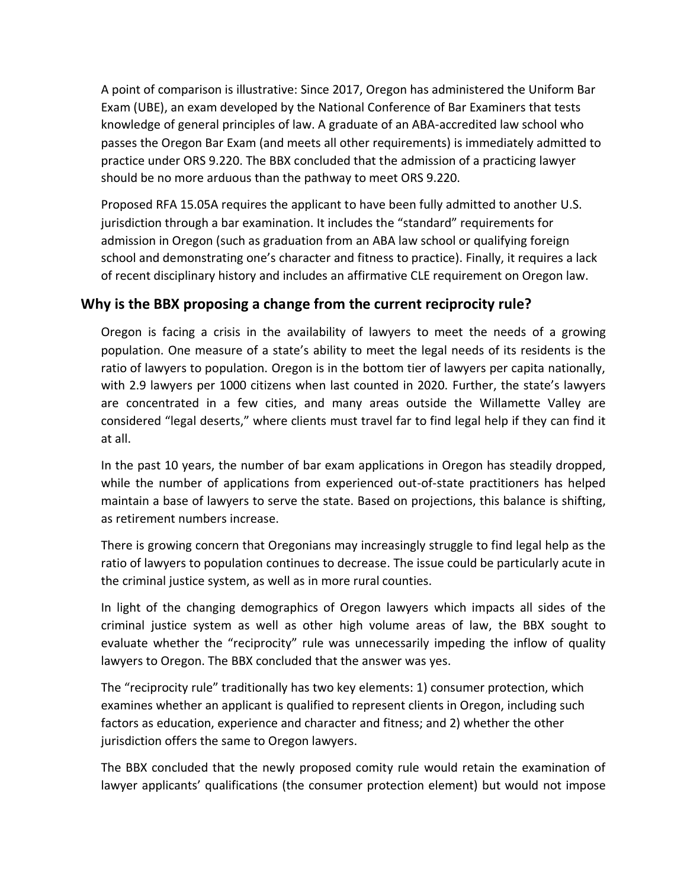A point of comparison is illustrative: Since 2017, Oregon has administered the Uniform Bar Exam (UBE), an exam developed by the National Conference of Bar Examiners that tests knowledge of general principles of law. A graduate of an ABA-accredited law school who passes the Oregon Bar Exam (and meets all other requirements) is immediately admitted to practice under ORS 9.220. The BBX concluded that the admission of a practicing lawyer should be no more arduous than the pathway to meet ORS 9.220.

Proposed RFA 15.05A requires the applicant to have been fully admitted to another U.S. jurisdiction through a bar examination. It includes the "standard" requirements for admission in Oregon (such as graduation from an ABA law school or qualifying foreign school and demonstrating one's character and fitness to practice). Finally, it requires a lack of recent disciplinary history and includes an affirmative CLE requirement on Oregon law.

### **Why is the BBX proposing a change from the current reciprocity rule?**

Oregon is facing a crisis in the availability of lawyers to meet the needs of a growing population. One measure of a state's ability to meet the legal needs of its residents is the ratio of lawyers to population. Oregon is in the bottom tier of lawyers per capita nationally, with 2.9 lawyers per 1000 citizens when last counted in 2020. Further, the state's lawyers are concentrated in a few cities, and many areas outside the Willamette Valley are considered "legal deserts," where clients must travel far to find legal help if they can find it at all.

In the past 10 years, the number of bar exam applications in Oregon has steadily dropped, while the number of applications from experienced out-of-state practitioners has helped maintain a base of lawyers to serve the state. Based on projections, this balance is shifting, as retirement numbers increase.

There is growing concern that Oregonians may increasingly struggle to find legal help as the ratio of lawyers to population continues to decrease. The issue could be particularly acute in the criminal justice system, as well as in more rural counties.

In light of the changing demographics of Oregon lawyers which impacts all sides of the criminal justice system as well as other high volume areas of law, the BBX sought to evaluate whether the "reciprocity" rule was unnecessarily impeding the inflow of quality lawyers to Oregon. The BBX concluded that the answer was yes.

The "reciprocity rule" traditionally has two key elements: 1) consumer protection, which examines whether an applicant is qualified to represent clients in Oregon, including such factors as education, experience and character and fitness; and 2) whether the other jurisdiction offers the same to Oregon lawyers.

The BBX concluded that the newly proposed comity rule would retain the examination of lawyer applicants' qualifications (the consumer protection element) but would not impose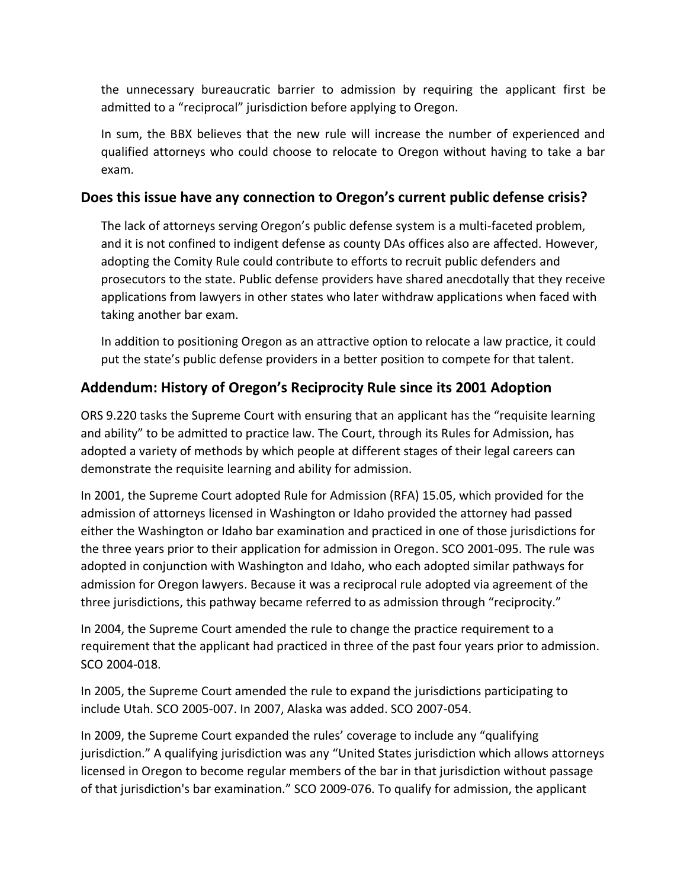the unnecessary bureaucratic barrier to admission by requiring the applicant first be admitted to a "reciprocal" jurisdiction before applying to Oregon.

In sum, the BBX believes that the new rule will increase the number of experienced and qualified attorneys who could choose to relocate to Oregon without having to take a bar exam.

#### **Does this issue have any connection to Oregon's current public defense crisis?**

The lack of attorneys serving Oregon's public defense system is a multi-faceted problem, and it is not confined to indigent defense as county DAs offices also are affected. However, adopting the Comity Rule could contribute to efforts to recruit public defenders and prosecutors to the state. Public defense providers have shared anecdotally that they receive applications from lawyers in other states who later withdraw applications when faced with taking another bar exam.

In addition to positioning Oregon as an attractive option to relocate a law practice, it could put the state's public defense providers in a better position to compete for that talent.

#### **Addendum: History of Oregon's Reciprocity Rule since its 2001 Adoption**

ORS 9.220 tasks the Supreme Court with ensuring that an applicant has the "requisite learning and ability" to be admitted to practice law. The Court, through its Rules for Admission, has adopted a variety of methods by which people at different stages of their legal careers can demonstrate the requisite learning and ability for admission.

In 2001, the Supreme Court adopted Rule for Admission (RFA) 15.05, which provided for the admission of attorneys licensed in Washington or Idaho provided the attorney had passed either the Washington or Idaho bar examination and practiced in one of those jurisdictions for the three years prior to their application for admission in Oregon. SCO 2001-095. The rule was adopted in conjunction with Washington and Idaho, who each adopted similar pathways for admission for Oregon lawyers. Because it was a reciprocal rule adopted via agreement of the three jurisdictions, this pathway became referred to as admission through "reciprocity."

In 2004, the Supreme Court amended the rule to change the practice requirement to a requirement that the applicant had practiced in three of the past four years prior to admission. SCO 2004-018.

In 2005, the Supreme Court amended the rule to expand the jurisdictions participating to include Utah. SCO 2005-007. In 2007, Alaska was added. SCO 2007-054.

In 2009, the Supreme Court expanded the rules' coverage to include any "qualifying jurisdiction." A qualifying jurisdiction was any "United States jurisdiction which allows attorneys licensed in Oregon to become regular members of the bar in that jurisdiction without passage of that jurisdiction's bar examination." SCO 2009-076. To qualify for admission, the applicant